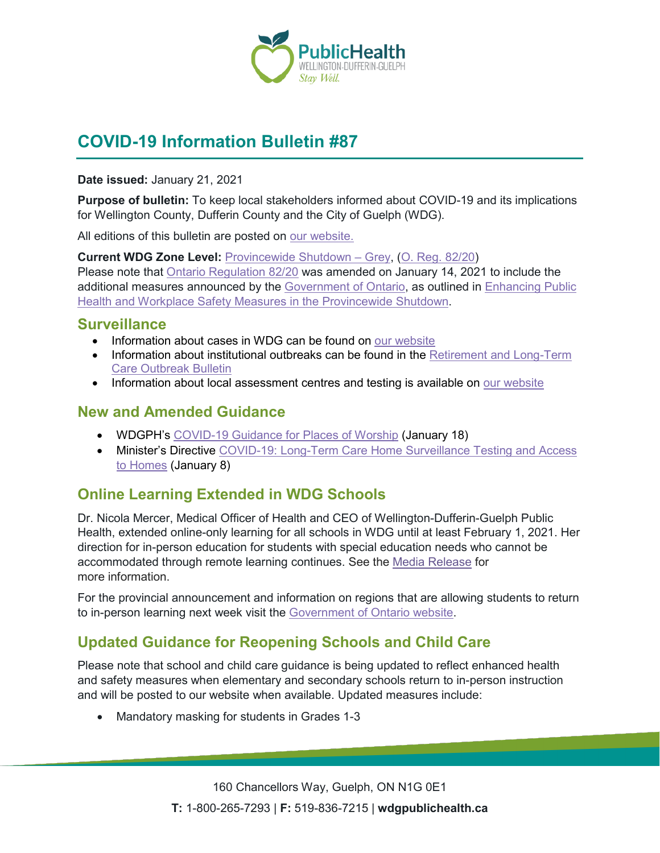

# **COVID-19 Information Bulletin #87**

**Date issued:** January 21, 2021

**Purpose of bulletin:** To keep local stakeholders informed about COVID-19 and its implications for Wellington County, Dufferin County and the City of Guelph (WDG).

All editions of this bulletin are posted on [our website.](https://www.wdgpublichealth.ca/your-health/covid-19-information-workplaces-and-living-spaces/community-stakeholder-bulletins)

**Current WDG Zone Level:** [Provincewide Shutdown –](https://www.ontario.ca/page/covid-19-provincewide-shutdown) Grey, (O. Reg. [82/20\)](https://www.ontario.ca/laws/regulation/200082) Please note that [Ontario Regulation 82/20](https://www.ontario.ca/laws/regulation/200082) was amended on January 14, 2021 to include the additional measures announced by the [Government](https://news.ontario.ca/en/release/59922/ontario-declares-second-provincial-emergency-to-address-covid-19-crisis-and-save-lives) of Ontario, as outlined in [Enhancing Public](https://files.ontario.ca/moh-enhanced-provincewide-shutdown-en-2021-01-12-v3.pdf)  [Health and Workplace Safety Measures in the Provincewide](https://files.ontario.ca/moh-enhanced-provincewide-shutdown-en-2021-01-12-v3.pdf) Shutdown.

#### **Surveillance**

- Information about cases in WDG can be found on [our website](https://wdgpublichealth.ca/your-health/covid-19-information-public/status-cases-wdg)
- Information about institutional outbreaks can be found in the Retirement and Long-Term [Care Outbreak Bulletin](https://wdgpublichealth.ca/node/1542)
- Information about local assessment centres and testing is available on [our website](https://www.wdgpublichealth.ca/your-health/covid-19-information-public/assessment-centres-wdg)

### **New and Amended Guidance**

- WDGPH's [COVID-19 Guidance for Places of Worship](https://www.wdgpublichealth.ca/sites/default/files/covid-19_guidance_for_places_of_worship_-_grey_shutdown.pdf) (January 18)
- Minister's Directive COVID-19: Long-Term Care Home Surveillance Testing and Access [to Homes](https://www.ontario.ca/page/covid-19-long-term-care-home-surveillance-testing?_ga=2.155878014.450576348.1606161219-1106436773.1593184387) (January 8)

## **Online Learning Extended in WDG Schools**

Dr. Nicola Mercer, Medical Officer of Health and CEO of Wellington-Dufferin-Guelph Public Health, extended online-only learning for all schools in WDG until at least February 1, 2021. Her direction for in-person education for students with special education needs who cannot be accommodated through remote learning continues. See the [Media Release](https://www.wdgpublichealth.ca/news/online-learning-extended-all-wellington-dufferin-guelph-schools-additional-week) for more information.

For the provincial announcement and information on regions that are allowing students to return to in-person learning next week visit the [Government of Ontario website.](https://news.ontario.ca/en/statement/60033/over-100000-ontario-students-return-to-class-beginning-next-week)

## **Updated Guidance for Reopening Schools and Child Care**

Please note that school and child care guidance is being updated to reflect enhanced health and safety measures when elementary and secondary schools return to in-person instruction and will be posted to our website when available. Updated measures include:

• Mandatory masking for students in Grades 1-3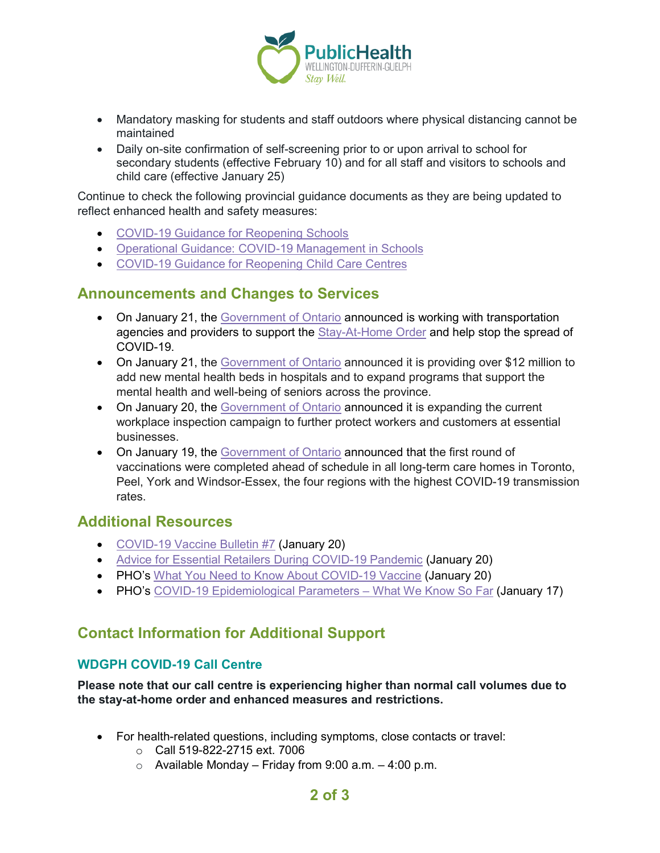

- Mandatory masking for students and staff outdoors where physical distancing cannot be maintained
- Daily on-site confirmation of self-screening prior to or upon arrival to school for secondary students (effective February 10) and for all staff and visitors to schools and child care (effective January 25)

Continue to check the following provincial guidance documents as they are being updated to reflect enhanced health and safety measures:

- [COVID-19 Guidance for Reopening Schools](https://www.ontario.ca/page/covid-19-reopening-schools)
- [Operational Guidance: COVID-19 Management in Schools](https://www.ontario.ca/page/operational-guidance-covid-19-management-schools?_ga=2.123740106.1954911274.1598383198-1481962650.1595365772)
- [COVID-19 Guidance for Reopening Child Care Centres](https://www.ontario.ca/page/covid-19-reopening-child-care-centres)

#### **Announcements and Changes to Services**

- On January 21, the [Government of Ontario](https://news.ontario.ca/en/release/60046/ontario-reminds-public-to-stay-home-and-travel-only-when-necessary) announced is working with transportation agencies and providers to support the [Stay-At-Home Order](https://www.ontario.ca/laws/regulation/r21011) and help stop the spread of COVID-19.
- On January 21, the [Government of Ontario](https://news.ontario.ca/en/release/60034/ontario-adding-more-mental-health-beds-and-programs-for-seniors) announced it is providing over \$12 million to add new mental health beds in hospitals and to expand programs that support the mental health and well-being of seniors across the province.
- On January 20, the [Government of Ontario](https://news.ontario.ca/en/release/60019/ontario-expands-workplace-enforcement-campaigns) announced it is expanding the current workplace inspection campaign to further protect workers and customers at essential businesses.
- On January 19, the [Government of Ontario](https://news.ontario.ca/en/release/60011/ontario-achieves-key-milestone-with-vaccinations-in-long-term-care) announced that the first round of vaccinations were completed ahead of schedule in all long-term care homes in Toronto, Peel, York and Windsor-Essex, the four regions with the highest COVID-19 transmission rates.

#### **Additional Resources**

- [COVID-19 Vaccine Bulletin #7](https://www.wdgpublichealth.ca/sites/default/files/wdgph_covid-19_vaccine_bulletin_7_jan_20_2021.pdf) (January 20)
- [Advice for Essential Retailers During COVID-19 Pandemic](https://www.canada.ca/en/public-health/services/diseases/2019-novel-coronavirus-infection/guidance-documents/advice-essential-retailers.html) (January 20)
- PHO's [What You Need to Know About COVID-19 Vaccine](https://www.publichealthontario.ca/-/media/documents/ncov/factsheet/2021/01/vac/factsheet-covid-19-vaccines.pdf?la=en) (January 20)
- PHO's [COVID-19 Epidemiological Parameters –](https://www.publichealthontario.ca/-/media/documents/ncov/covid-wwksf/2021/01/wwksf-epidemiological-parameters.pdf?la=en) What We Know So Far (January 17)

### **Contact Information for Additional Support**

#### **WDGPH COVID-19 Call Centre**

**Please note that our call centre is experiencing higher than normal call volumes due to the stay-at-home order and enhanced measures and restrictions.**

- For health-related questions, including symptoms, close contacts or travel:
	- o Call 519-822-2715 ext. 7006
	- $\circ$  Available Monday Friday from 9:00 a.m. 4:00 p.m.